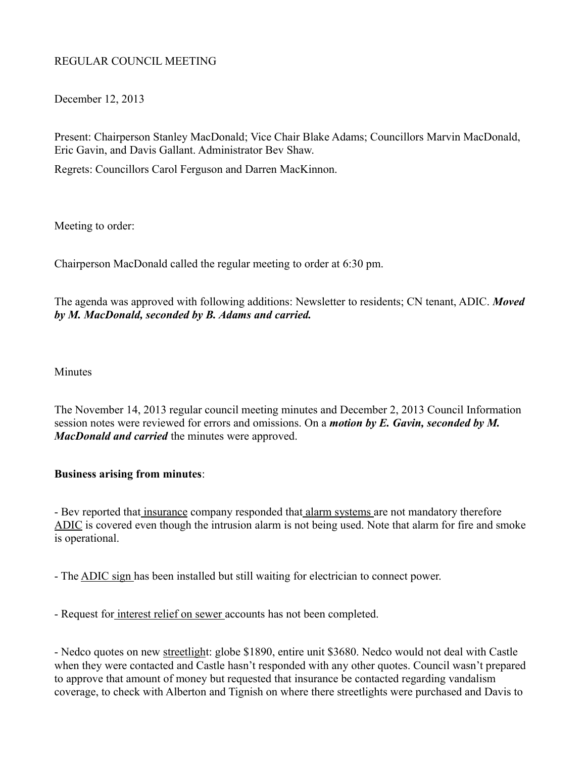# REGULAR COUNCIL MEETING

December 12, 2013

Present: Chairperson Stanley MacDonald; Vice Chair Blake Adams; Councillors Marvin MacDonald, Eric Gavin, and Davis Gallant. Administrator Bev Shaw.

Regrets: Councillors Carol Ferguson and Darren MacKinnon.

Meeting to order:

Chairperson MacDonald called the regular meeting to order at 6:30 pm.

The agenda was approved with following additions: Newsletter to residents; CN tenant, ADIC. *Moved by M. MacDonald, seconded by B. Adams and carried.*

**Minutes** 

The November 14, 2013 regular council meeting minutes and December 2, 2013 Council Information session notes were reviewed for errors and omissions. On a *motion by E. Gavin, seconded by M. MacDonald and carried* the minutes were approved.

### **Business arising from minutes**:

- Bev reported that insurance company responded that alarm systems are not mandatory therefore ADIC is covered even though the intrusion alarm is not being used. Note that alarm for fire and smoke is operational.

- The ADIC sign has been installed but still waiting for electrician to connect power.

- Request for interest relief on sewer accounts has not been completed.

- Nedco quotes on new streetlight: globe \$1890, entire unit \$3680. Nedco would not deal with Castle when they were contacted and Castle hasn't responded with any other quotes. Council wasn't prepared to approve that amount of money but requested that insurance be contacted regarding vandalism coverage, to check with Alberton and Tignish on where there streetlights were purchased and Davis to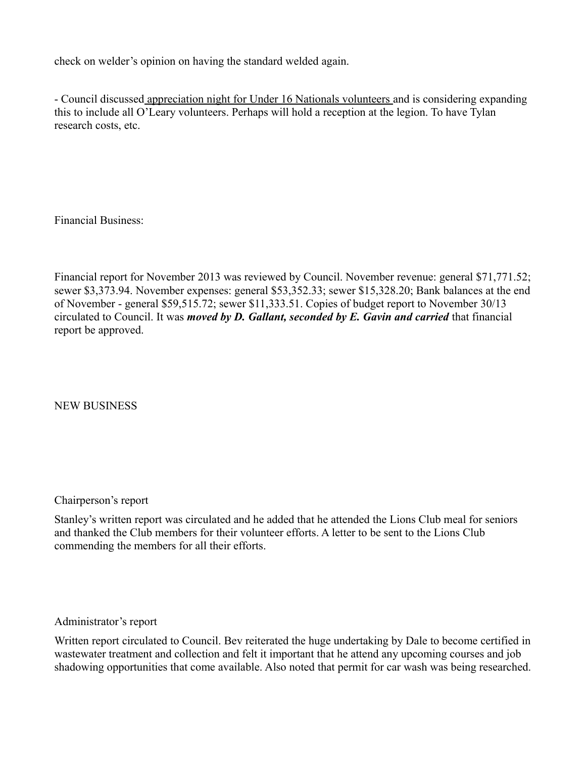check on welder's opinion on having the standard welded again.

- Council discussed appreciation night for Under 16 Nationals volunteers and is considering expanding this to include all O'Leary volunteers. Perhaps will hold a reception at the legion. To have Tylan research costs, etc.

Financial Business:

Financial report for November 2013 was reviewed by Council. November revenue: general \$71,771.52; sewer \$3,373.94. November expenses: general \$53,352.33; sewer \$15,328.20; Bank balances at the end of November - general \$59,515.72; sewer \$11,333.51. Copies of budget report to November 30/13 circulated to Council. It was *moved by D. Gallant, seconded by E. Gavin and carried* that financial report be approved.

NEW BUSINESS

Chairperson's report

Stanley's written report was circulated and he added that he attended the Lions Club meal for seniors and thanked the Club members for their volunteer efforts. A letter to be sent to the Lions Club commending the members for all their efforts.

Administrator's report

Written report circulated to Council. Bev reiterated the huge undertaking by Dale to become certified in wastewater treatment and collection and felt it important that he attend any upcoming courses and job shadowing opportunities that come available. Also noted that permit for car wash was being researched.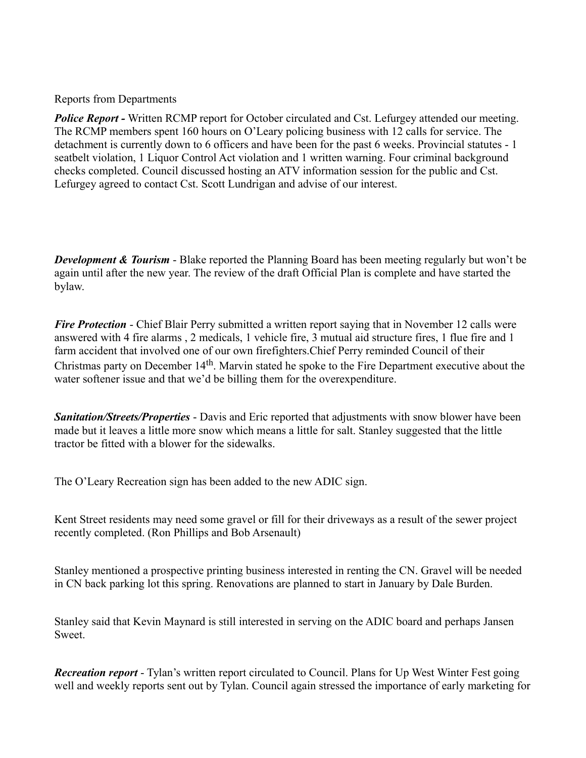### Reports from Departments

**Police Report - Written RCMP report for October circulated and Cst. Lefurgey attended our meeting.** The RCMP members spent 160 hours on O'Leary policing business with 12 calls for service. The detachment is currently down to 6 officers and have been for the past 6 weeks. Provincial statutes - 1 seatbelt violation, 1 Liquor Control Act violation and 1 written warning. Four criminal background checks completed. Council discussed hosting an ATV information session for the public and Cst. Lefurgey agreed to contact Cst. Scott Lundrigan and advise of our interest.

*Development & Tourism* - Blake reported the Planning Board has been meeting regularly but won't be again until after the new year. The review of the draft Official Plan is complete and have started the bylaw.

*Fire Protection* - Chief Blair Perry submitted a written report saying that in November 12 calls were answered with 4 fire alarms , 2 medicals, 1 vehicle fire, 3 mutual aid structure fires, 1 flue fire and 1 farm accident that involved one of our own firefighters.Chief Perry reminded Council of their Christmas party on December 14th. Marvin stated he spoke to the Fire Department executive about the water softener issue and that we'd be billing them for the overexpenditure.

*Sanitation/Streets/Properties* - Davis and Eric reported that adjustments with snow blower have been made but it leaves a little more snow which means a little for salt. Stanley suggested that the little tractor be fitted with a blower for the sidewalks.

The O'Leary Recreation sign has been added to the new ADIC sign.

Kent Street residents may need some gravel or fill for their driveways as a result of the sewer project recently completed. (Ron Phillips and Bob Arsenault)

Stanley mentioned a prospective printing business interested in renting the CN. Gravel will be needed in CN back parking lot this spring. Renovations are planned to start in January by Dale Burden.

Stanley said that Kevin Maynard is still interested in serving on the ADIC board and perhaps Jansen Sweet.

*Recreation report* - Tylan's written report circulated to Council. Plans for Up West Winter Fest going well and weekly reports sent out by Tylan. Council again stressed the importance of early marketing for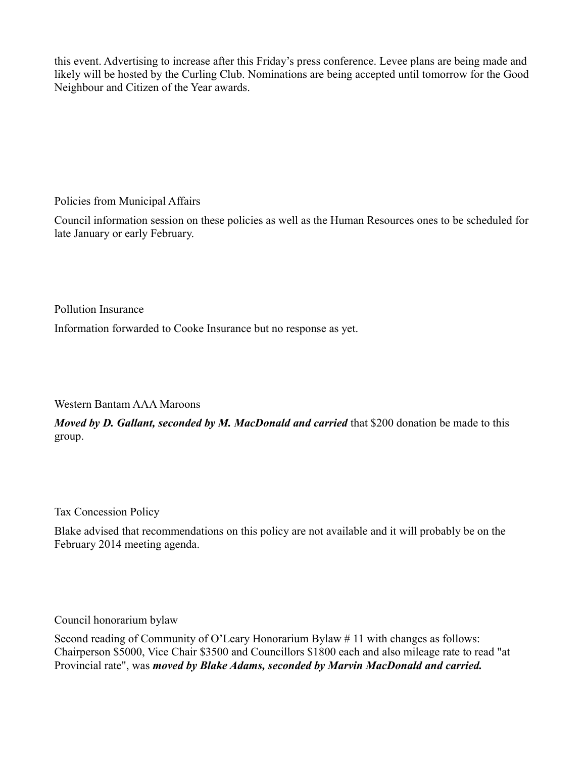this event. Advertising to increase after this Friday's press conference. Levee plans are being made and likely will be hosted by the Curling Club. Nominations are being accepted until tomorrow for the Good Neighbour and Citizen of the Year awards.

Policies from Municipal Affairs

Council information session on these policies as well as the Human Resources ones to be scheduled for late January or early February.

Pollution Insurance

Information forwarded to Cooke Insurance but no response as yet.

Western Bantam AAA Maroons

*Moved by D. Gallant, seconded by M. MacDonald and carried* that \$200 donation be made to this group.

Tax Concession Policy

Blake advised that recommendations on this policy are not available and it will probably be on the February 2014 meeting agenda.

Council honorarium bylaw

Second reading of Community of O'Leary Honorarium Bylaw # 11 with changes as follows: Chairperson \$5000, Vice Chair \$3500 and Councillors \$1800 each and also mileage rate to read "at Provincial rate", was *moved by Blake Adams, seconded by Marvin MacDonald and carried.*